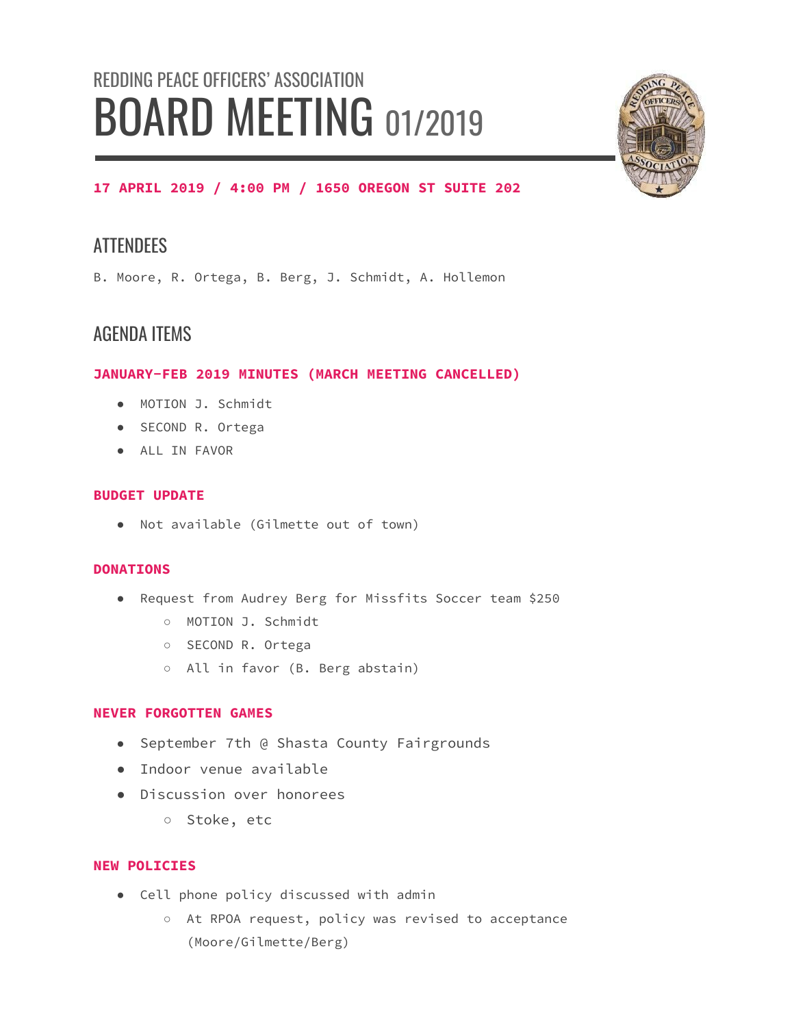# REDDING PEACE OFFICERS' ASSOCIATION **BOARD MEETING 01/2019**



# **17 APRIL 2019 / 4:00 PM / 1650 OREGON ST SUITE 202**

# **ATTENDEES**

B. Moore, R. Ortega, B. Berg, J. Schmidt, A. Hollemon

# AGENDA ITEMS

# **JANUARY-FEB 2019 MINUTES (MARCH MEETING CANCELLED)**

- MOTION J. Schmidt
- SECOND R. Ortega
- ALL IN FAVOR

# **BUDGET UPDATE**

● Not available (Gilmette out of town)

## **DONATIONS**

- Request from Audrey Berg for Missfits Soccer team \$250
	- MOTION J. Schmidt
	- SECOND R. Ortega
	- All in favor (B. Berg abstain)

## **NEVER FORGOTTEN GAMES**

- September 7th @ Shasta County Fairgrounds
- Indoor venue available
- Discussion over honorees
	- Stoke, etc

## **NEW POLICIES**

- Cell phone policy discussed with admin
	- At RPOA request, policy was revised to acceptance (Moore/Gilmette/Berg)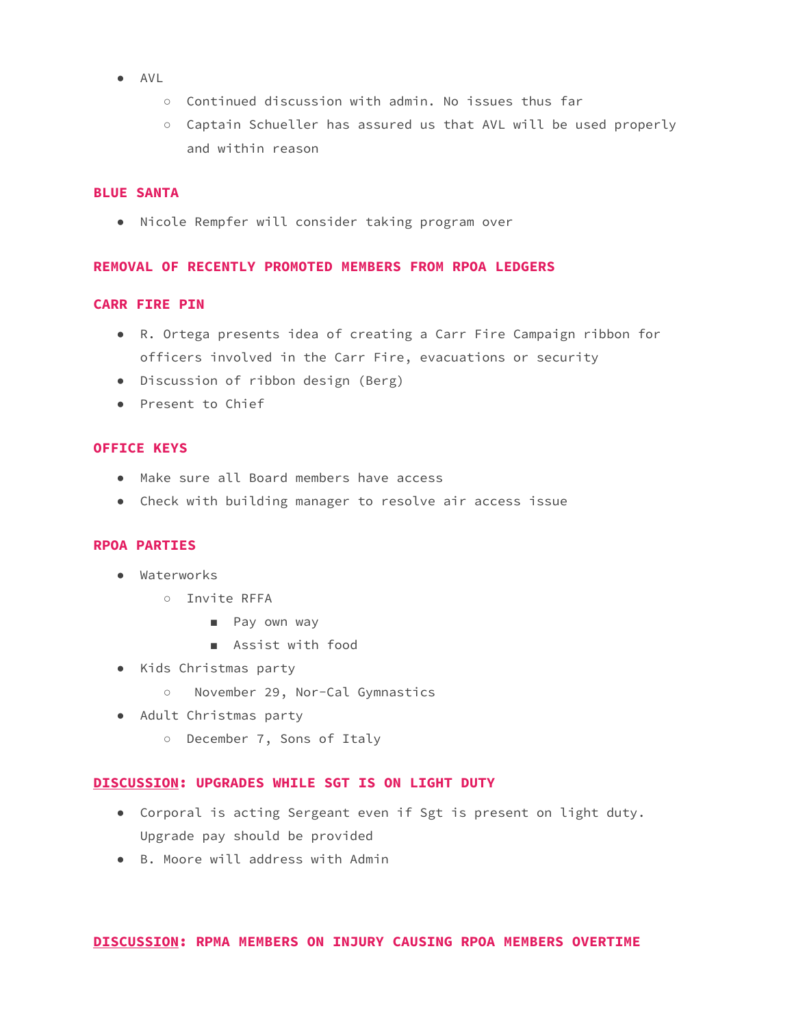- AVL
	- Continued discussion with admin. No issues thus far
	- Captain Schueller has assured us that AVL will be used properly and within reason

#### **BLUE SANTA**

● Nicole Rempfer will consider taking program over

#### **REMOVAL OF RECENTLY PROMOTED MEMBERS FROM RPOA LEDGERS**

#### **CARR FIRE PIN**

- R. Ortega presents idea of creating a Carr Fire Campaign ribbon for officers involved in the Carr Fire, evacuations or security
- Discussion of ribbon design (Berg)
- Present to Chief

#### **OFFICE KEYS**

- Make sure all Board members have access
- Check with building manager to resolve air access issue

#### **RPOA PARTIES**

- Waterworks
	- Invite RFFA
		- Pay own way
		- Assist with food
- Kids Christmas party
	- November 29, Nor-Cal Gymnastics
- Adult Christmas party
	- December 7, Sons of Italy

#### **DISCUSSION: UPGRADES WHILE SGT IS ON LIGHT DUTY**

- Corporal is acting Sergeant even if Sgt is present on light duty. Upgrade pay should be provided
- B. Moore will address with Admin